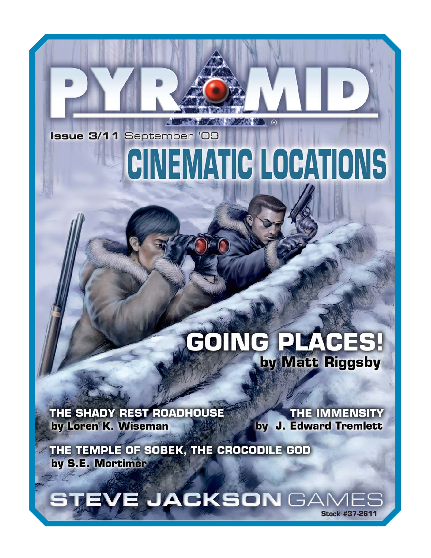<span id="page-0-0"></span>Issue 3/11 September '09

# **CINEMATIC LOCATIONS**

 $(R)$ 

**BACK AND ANNA IN BACK OF SALE** 

#### COINC **PLACES!** by Matt Riggsby

THE SHADY REST ROADHOUSE by Loren K. Wiseman

THE IMMENSITY **J. Edward Tremlett** by

THE TEMPLE OF SOBEK, THE CROCODILE GOD by S.E. Mortimer

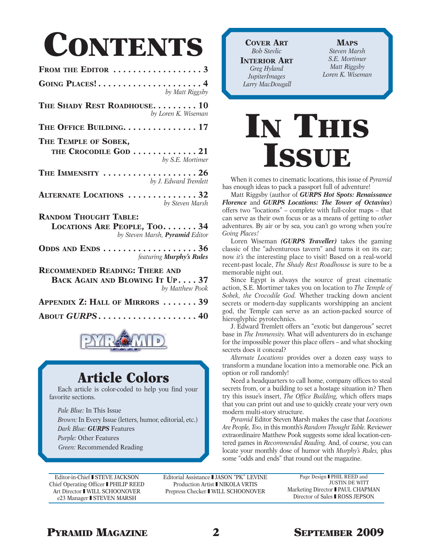### CONTENTS

| FROM THE EDITOR 3                                                                              |
|------------------------------------------------------------------------------------------------|
| GOING PLACES!4<br>by Matt Riggsby                                                              |
| THE SHADY REST ROADHOUSE 10<br>by Loren K. Wiseman                                             |
| THE OFFICE BUILDING. 17                                                                        |
| THE TEMPLE OF SOBEK,<br>THE CROCODILE GOD 21<br>by S.E. Mortimer                               |
| THE IMMENSITY 26<br>by J. Edward Tremlett                                                      |
| ALTERNATE LOCATIONS 32<br>by Steven Marsh                                                      |
| <b>RANDOM THOUGHT TABLE:</b><br>LOCATIONS ARE PEOPLE, TOO34<br>by Steven Marsh, Pyramid Editor |
| ODDS AND ENDS  36<br>featuring <b>Murphy's Rules</b>                                           |
| <b>RECOMMENDED READING: THERE AND</b><br>BACK AGAIN AND BLOWING IT UP 37<br>by Matthew Pook    |
| <b>APPENDIX Z: HALL OF MIRRORS 39</b>                                                          |
| ABOUT GURPS40                                                                                  |
| <b>OVER A COLOR</b>                                                                            |



#### Article Colors

Each article is color-coded to help you find your favorite sections.

*Pale Blue:* In This Issue *Brown:* In Every Issue (letters, humor, editorial, etc.) *Dark Blue: GURPS* Features *Purple:* Other Features *Green:* Recommended Reading

**COVER ART** *Bob Stevlic* **INTERIOR ART** *Greg Hyland JupiterImages Larry MacDougall*

**MAPS** *Steven Marsh S.E. Mortimer Matt Riggsby Loren K. Wiseman*

### IN THIS **ISSUE**

When it comes to cinematic locations, this issue of *Pyramid* has enough ideas to pack a passport full of adventure!

Matt Riggsby (author of *GURPS Hot Spots: Renaissance Florence* and *GURPS Locations: The Tower of Octavius*) offers two "locations" – complete with full-color maps – that can serve as their own focus or as a means of getting to *other* adventures. By air or by sea, you can't go wrong when you're *Going Places!*

Loren Wiseman *(GURPS Traveller)* takes the gaming classic of the "adventurous tavern" and turns it on its ear; now *it's* the interesting place to visit! Based on a real-world recent-past locale, *The Shady Rest Roadhouse* is sure to be a memorable night out.

Since Egypt is always the source of great cinematic action, S.E. Mortimer takes you on location to *The Temple of Sobek, the Crocodile God.* Whether tracking down ancient secrets or modern-day supplicants worshipping an ancient god, the Temple can serve as an action-packed source of hieroglyphic pyrotechnics.

J. Edward Tremlett offers an "exotic but dangerous" secret base in *The Immensity.* What will adventurers do in exchange for the impossible power this place offers – and what shocking secrets does it conceal?

*Alternate Locations* provides over a dozen easy ways to transform a mundane location into a memorable one. Pick an option or roll randomly!

Need a headquarters to call home, company offices to steal secrets from, or a building to set a hostage situation in? Then try this issue's insert, *The Office Building,* which offers maps that you can print out and use to quickly create your very own modern multi-story structure.

*Pyramid* Editor Steven Marsh makes the case that *Locations Are People, Too,* in this month's *Random Thought Table.* Reviewer extraordinaire Matthew Pook suggests some ideal location-centered games in *Recommended Reading.* And, of course, you can locate your monthly dose of humor with *Murphy's Rules,* plus some "odds and ends" that round out the magazine.

Editor-in-Chief ❚ STEVE JACKSON Chief Operating Officer ❚ PHILIP REED Art Director ❚ WILL SCHOONOVER e23 Manager ❚ STEVEN MARSH

Editorial Assistance ❚ JASON "PK" LEVINE Production Artist ❚ NIKOLA VRTIS Prepress Checker ❚ WILL SCHOONOVER

Page Design ∎ PHIL REED and JUSTIN DE WITT Marketing Director ❚ PAUL CHAPMAN Director of Sales ❚ ROSS JEPSON

**PYRAMID MAGAZINE 2** 2 SEPTEMBER 2009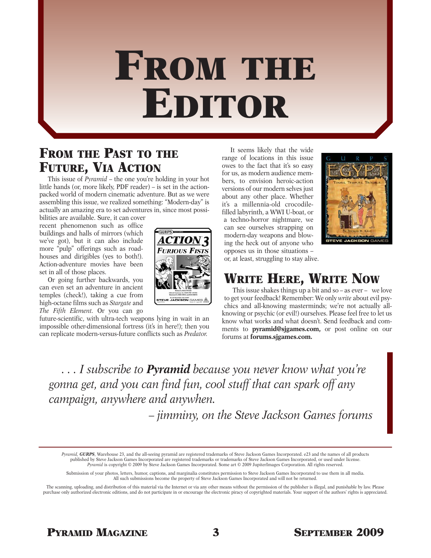## <span id="page-2-0"></span>FROM THE EDITOR

#### FROM THE PAST TO THE FUTURE, VIA ACTION

This issue of *Pyramid* – the one you're holding in your hot little hands (or, more likely, PDF reader) – is set in the actionpacked world of modern cinematic adventure. But as we were assembling this issue, we realized something: "Modern-day" is actually an amazing era to set adventures in, since most possi-

bilities are available. Sure, it can cover recent phenomenon such as office buildings and halls of mirrors (which we've got), but it can also include more "pulp" offerings such as roadhouses and dirigibles (yes to both!). Action-adventure movies have been set in all of those places.

Or going further backwards, you can even set an adventure in ancient temples (check!), taking a cue from high-octane films such as *Stargate* and *The Fifth Element.* Or you can go

future-scientific, with ultra-tech weapons lying in wait in an impossible other-dimensional fortress (it's in here!); then you can replicate modern-versus-future conflicts such as *Predator.*

It seems likely that the wide range of locations in this issue owes to the fact that it's so easy for us, as modern audience members, to envision heroic-action versions of our modern selves just about any other place. Whether it's a millennia-old crocodilefilled labyrinth, a WWI U-boat, or a techno-horror nightmare, we can see ourselves strapping on modern-day weapons and blowing the heck out of anyone who opposes us in those situations – or, at least, struggling to stay alive.



WRITE HERE, WRITE NOW

This issue shakes things up a bit and so – as ever – we love to get your feedback! Remember: We only *write* about evil psychics and all-knowing masterminds; we're not actually allknowing or psychic (or evil!) ourselves. Please feel free to let us know what works and what doesn't. Send feedback and comments to **[pyramid@sjgames.com](mailto:pyramid@sjgames.com),** or post online on our forums at **[forums.sjgames.com.](forums.sjgames.com)**

*. . . I subscribe to Pyramid because you never know what you're gonna get, and you can find fun, cool stuff that can spark off any campaign, anywhere and anywhen.*

*– jimminy, on the Steve Jackson Games forums*

*Pyramid, GURPS*, Warehouse 23, and the all-seeing pyramid are registered trademarks of Steve Jackson Games Incorporated. e23 and the names of all products published by Steve Jackson Games Incorporated are registered trademarks or trademarks of Steve Jackson Games Incorporated, or used under license. *Pyramid* is copyright © 2009 by Steve Jackson Games Incorporated. Some art © 2009 JupiterImages Corporation. All rights reserved.

Submission of your photos, letters, humor, captions, and marginalia constitutes permission to Steve Jackson Games Incorporated to use them in all media.<br>All such submissions become the property of Steve Jackson Games Incor

The scanning, uploading, and distribution of this material via the Internet or via any other means without the permission of the publisher is illegal, and punishable by law. Please purchase only authorized electronic editions, and do not participate in or encourage the electronic piracy of copyrighted materials. Your support of the authors' rights is appreciated.

**PYRAMID MAGAZINE 3 SEPTEMBER 2009** 



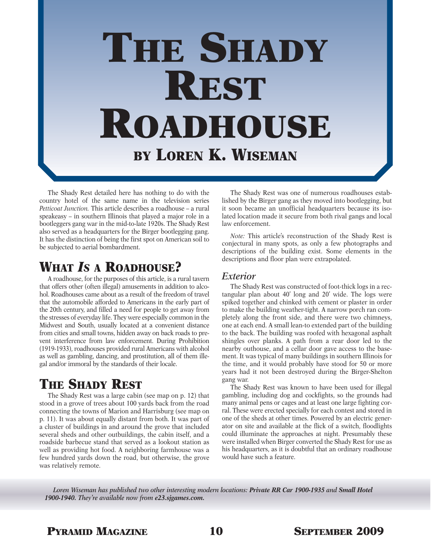## <span id="page-3-0"></span>THE SHADY **REST** ROADHOUSE BY LOREN K. WISEMAN

The Shady Rest detailed here has nothing to do with the country hotel of the same name in the television series *Petticoat Junction.* This article describes a roadhouse – a rural speakeasy – in southern Illinois that played a major role in a bootleggers gang war in the mid-to-late 1920s. The Shady Rest also served as a headquarters for the Birger bootlegging gang. It has the distinction of being the first spot on American soil to be subjected to aerial bombardment.

#### WHAT *IS* A ROADHOUSE?

A roadhouse, for the purposes of this article, is a rural tavern that offers other (often illegal) amusements in addition to alcohol. Roadhouses came about as a result of the freedom of travel that the automobile afforded to Americans in the early part of the 20th century, and filled a need for people to get away from the stresses of everyday life. They were especially common in the Midwest and South, usually located at a convenient distance from cities and small towns, hidden away on back roads to prevent interference from law enforcement. During Prohibition (1919-1933), roadhouses provided rural Americans with alcohol as well as gambling, dancing, and prostitution, all of them illegal and/or immoral by the standards of their locale.

#### THE SHADY REST

The Shady Rest was a large cabin (see map on p. 12) that stood in a grove of trees about 100 yards back from the road connecting the towns of Marion and Harrisburg (see map on p. 11). It was about equally distant from both. It was part of a cluster of buildings in and around the grove that included several sheds and other outbuildings, the cabin itself, and a roadside barbecue stand that served as a lookout station as well as providing hot food. A neighboring farmhouse was a few hundred yards down the road, but otherwise, the grove was relatively remote.

The Shady Rest was one of numerous roadhouses established by the Birger gang as they moved into bootlegging, but it soon became an unofficial headquarters because its isolated location made it secure from both rival gangs and local law enforcement.

*Note:* This article's reconstruction of the Shady Rest is conjectural in many spots, as only a few photographs and descriptions of the building exist. Some elements in the descriptions and floor plan were extrapolated.

#### *Exterior*

The Shady Rest was constructed of foot-thick logs in a rectangular plan about 40' long and 20' wide. The logs were spiked together and chinked with cement or plaster in order to make the building weather-tight. A narrow porch ran completely along the front side, and there were two chimneys, one at each end. A small lean-to extended part of the building to the back. The building was roofed with hexagonal asphalt shingles over planks. A path from a rear door led to the nearby outhouse, and a cellar door gave access to the basement. It was typical of many buildings in southern Illinois for the time, and it would probably have stood for 50 or more years had it not been destroyed during the Birger-Shelton gang war.

The Shady Rest was known to have been used for illegal gambling, including dog and cockfights, so the grounds had many animal pens or cages and at least one large fighting corral. These were erected specially for each contest and stored in one of the sheds at other times. Powered by an electric generator on site and available at the flick of a switch, floodlights could illuminate the approaches at night. Presumably these were installed when Birger converted the Shady Rest for use as his headquarters, as it is doubtful that an ordinary roadhouse would have such a feature.

*Loren Wiseman has published two other interesting modern locations: Private RR Car 1900-1935 and Small Hotel 1900-1940. They're available now from e23.sjgames.com.*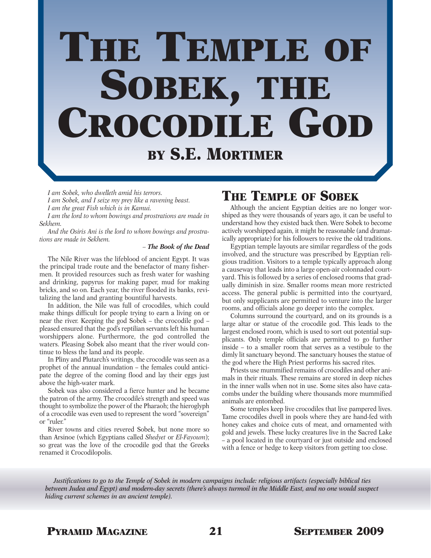### <span id="page-4-0"></span>THE TEMPLE OF SOBEK, THE CROCODILE GOD BY S.E. MORTIMER

*I am Sobek, who dwelleth amid his terrors.*

*I am Sobek, and I seize my prey like a ravening beast. I am the great Fish which is in Kamui.*

*I am the lord to whom bowings and prostrations are made in Sekhem.*

*And the Osiris Ani is the lord to whom bowings and prostrations are made in Sekhem.* 

#### *– The Book of the Dead*

The Nile River was the lifeblood of ancient Egypt. It was the principal trade route and the benefactor of many fishermen. It provided resources such as fresh water for washing and drinking, papyrus for making paper, mud for making bricks, and so on. Each year, the river flooded its banks, revitalizing the land and granting bountiful harvests.

In addition, the Nile was full of crocodiles, which could make things difficult for people trying to earn a living on or near the river. Keeping the god Sobek – the crocodile god – pleased ensured that the god's reptilian servants left his human worshippers alone. Furthermore, the god controlled the waters. Pleasing Sobek also meant that the river would continue to bless the land and its people.

In Pliny and Plutarch's writings, the crocodile was seen as a prophet of the annual inundation – the females could anticipate the degree of the coming flood and lay their eggs just above the high-water mark.

Sobek was also considered a fierce hunter and he became the patron of the army. The crocodile's strength and speed was thought to symbolize the power of the Pharaoh; the hieroglyph of a crocodile was even used to represent the word "sovereign" or "ruler."

River towns and cities revered Sobek, but none more so than Arsinoe (which Egyptians called *Shedyet* or *El-Fayoum*); so great was the love of the crocodile god that the Greeks renamed it Crocodilopolis.

#### THE TEMPLE OF SOBEK

Although the ancient Egyptian deities are no longer worshiped as they were thousands of years ago, it can be useful to understand how they existed back then. Were Sobek to become actively worshipped again, it might be reasonable (and dramatically appropriate) for his followers to revive the old traditions.

Egyptian temple layouts are similar regardless of the gods involved, and the structure was prescribed by Egyptian religious tradition. Visitors to a temple typically approach along a causeway that leads into a large open-air colonnaded courtyard. This is followed by a series of enclosed rooms that gradually diminish in size. Smaller rooms mean more restricted access. The general public is permitted into the courtyard, but only supplicants are permitted to venture into the larger rooms, and officials alone go deeper into the complex.

Columns surround the courtyard, and on its grounds is a large altar or statue of the crocodile god. This leads to the largest enclosed room, which is used to sort out potential supplicants. Only temple officials are permitted to go further inside – to a smaller room that serves as a vestibule to the dimly lit sanctuary beyond. The sanctuary houses the statue of the god where the High Priest performs his sacred rites.

Priests use mummified remains of crocodiles and other animals in their rituals. These remains are stored in deep niches in the inner walls when not in use. Some sites also have catacombs under the building where thousands more mummified animals are entombed.

Some temples keep live crocodiles that live pampered lives. Tame crocodiles dwell in pools where they are hand-fed with honey cakes and choice cuts of meat, and ornamented with gold and jewels. These lucky creatures live in the Sacred Lake – a pool located in the courtyard or just outside and enclosed with a fence or hedge to keep visitors from getting too close.

*Justifications to go to the Temple of Sobek in modern campaigns include: religious artifacts (especially biblical ties between Judea and Egypt) and modern-day secrets (there's always turmoil in the Middle East, and no one would suspect hiding current schemes in an ancient temple).*

**PYRAMID MAGAZINE 21** SEPTEMBER 2009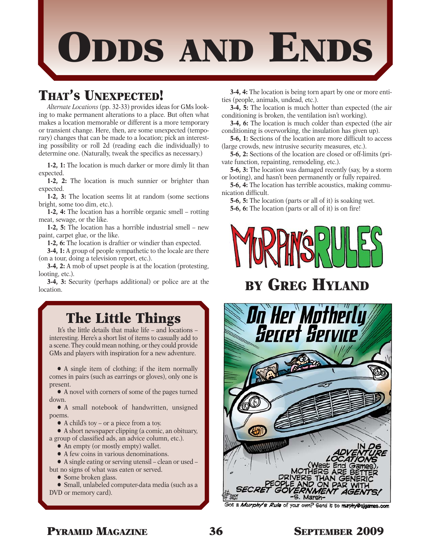# <span id="page-5-0"></span>ODDS AND ENDS

#### THAT'S UNEXPECTED!

*Alternate Locations* (pp. 32-33) provides ideas for GMs looking to make permanent alterations to a place. But often what makes a location memorable or different is a more temporary or transient change. Here, then, are some unexpected (temporary) changes that can be made to a location; pick an interesting possibility or roll 2d (reading each die individually) to determine one. (Naturally, tweak the specifics as necessary.)

**1-2, 1:** The location is much darker or more dimly lit than expected.

**1-2, 2:** The location is much sunnier or brighter than expected.

**1-2, 3:** The location seems lit at random (some sections bright, some too dim, etc.).

**1-2, 4:** The location has a horrible organic smell – rotting meat, sewage, or the like.

**1-2, 5:** The location has a horrible industrial smell – new paint, carpet glue, or the like.

**1-2, 6:** The location is draftier or windier than expected.

**3-4, 1:** A group of people sympathetic to the locale are there (on a tour, doing a television report, etc.).

**3-4, 2:** A mob of upset people is at the location (protesting, looting, etc.).

**3-4, 3:** Security (perhaps additional) or police are at the location.

#### The Little Things

It's the little details that make life – and locations – interesting. Here's a short list of items to casually add to a scene. They could mean nothing, or they could provide GMs and players with inspiration for a new adventure.

• A single item of clothing; if the item normally comes in pairs (such as earrings or gloves), only one is present.

• A novel with corners of some of the pages turned down.

• A small notebook of handwritten, unsigned poems.

• A child's toy – or a piece from a toy.

• A short newspaper clipping (a comic, an obituary, a group of classified ads, an advice column, etc.).

- An empty (or mostly empty) wallet.
- A few coins in various denominations.
- A single eating or serving utensil clean or used but no signs of what was eaten or served.
	- Some broken glass.

• Small, unlabeled computer-data media (such as a DVD or memory card).

**3-4, 4:** The location is being torn apart by one or more entities (people, animals, undead, etc.).

**3-4, 5:** The location is much hotter than expected (the air conditioning is broken, the ventilation isn't working).

**3-4, 6:** The location is much colder than expected (the air conditioning is overworking, the insulation has given up).

**5-6, 1:** Sections of the location are more difficult to access (large crowds, new intrusive security measures, etc.).

**5-6, 2:** Sections of the location are closed or off-limits (private function, repainting, remodeling, etc.).

**5-6, 3:** The location was damaged recently (say, by a storm or looting), and hasn't been permanently or fully repaired.

**5-6, 4:** The location has terrible acoustics, making communication difficult.

**5-6, 5:** The location (parts or all of it) is soaking wet. **5-6, 6:** The location (parts or all of it) is on fire!



### BY GREG HYLAND



Got a Murphy's Rule of your own? Send it to murphy@sjgames.com

#### **PYRAMID MAGAZINE 36** SEPTEMBER 2009